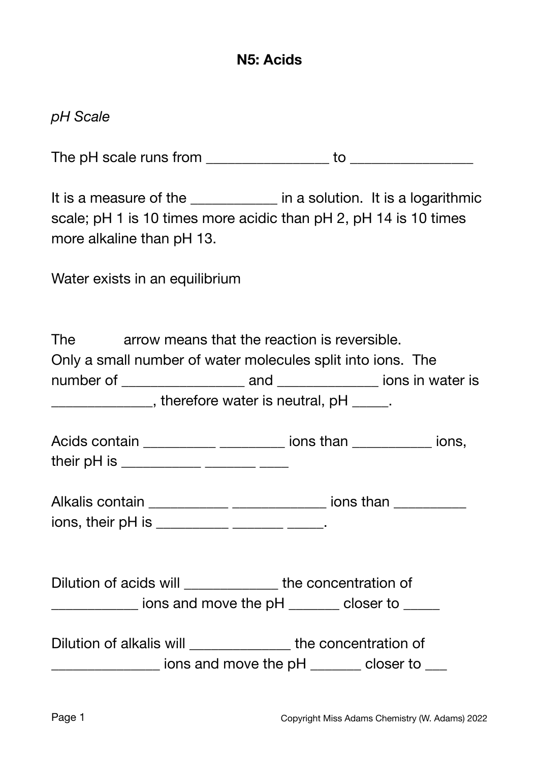## **N5: Acids**

### *pH Scale*

The pH scale runs from \_\_\_\_\_\_\_\_\_\_\_\_\_\_\_\_\_ to \_\_\_\_\_\_\_\_\_\_\_\_\_\_\_\_\_

It is a measure of the \_\_\_\_\_\_\_\_\_\_\_\_ in a solution. It is a logarithmic scale; pH 1 is 10 times more acidic than pH 2, pH 14 is 10 times more alkaline than pH 13.

Water exists in an equilibrium

| The                                                         | arrow means that the reaction is reversible.        |  |  |  |  |  |
|-------------------------------------------------------------|-----------------------------------------------------|--|--|--|--|--|
| Only a small number of water molecules split into ions. The |                                                     |  |  |  |  |  |
|                                                             | ions in water is<br>number of <b>compare</b><br>and |  |  |  |  |  |
| , therefore water is neutral, $pH$ .                        |                                                     |  |  |  |  |  |
|                                                             |                                                     |  |  |  |  |  |

| Acids contain | ions than | ions. |
|---------------|-----------|-------|
| their pH is   |           |       |

| Alkalis contain  | ions than |
|------------------|-----------|
| ions their nH is |           |

ions, their pH is \_\_\_\_\_\_\_\_\_\_\_\_ \_\_\_\_\_\_\_ \_\_\_\_\_.

| Dilution of acids will<br>the concentration of |  |
|------------------------------------------------|--|
|------------------------------------------------|--|

 $\frac{1}{2}$  ions and move the pH  $\frac{1}{2}$  closer to  $\frac{1}{2}$ 

| Dilution of alkalis will | the concentration of |           |
|--------------------------|----------------------|-----------|
|                          | ions and move the pH | closer to |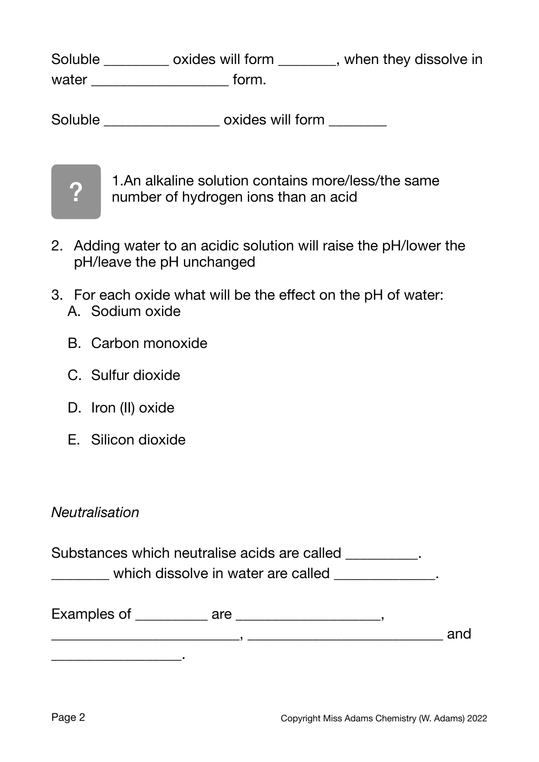Soluble \_\_\_\_\_\_\_\_ oxides will form \_\_\_\_\_\_, when they dissolve in water \_\_\_\_\_\_\_\_\_\_\_\_\_\_\_\_\_\_\_\_\_\_\_\_\_ form.

Soluble \_\_\_\_\_\_\_\_\_\_\_\_\_\_\_\_\_\_\_ oxides will form \_\_\_\_\_\_\_\_



1.An alkaline solution contains more/less/the same number of hydrogen ions than an acid

- 2. Adding water to an acidic solution will raise the pH/lower the pH/leave the pH unchanged
- 3. For each oxide what will be the effect on the pH of water: A. Sodium oxide
	- B. Carbon monoxide
	- C. Sulfur dioxide
	- D. Iron (II) oxide
	- E. Silicon dioxide

#### *Neutralisation*

Substances which neutralise acids are called \_\_\_\_\_\_\_\_\_\_. which dissolve in water are called  $\Box$ 

| Examples of | are |     |
|-------------|-----|-----|
|             |     | and |
|             |     |     |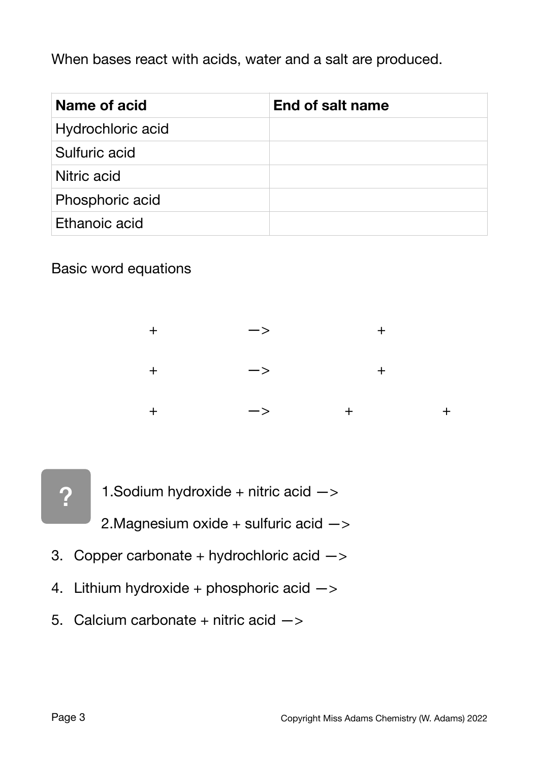When bases react with acids, water and a salt are produced.

| Name of acid      | End of salt name |
|-------------------|------------------|
| Hydrochloric acid |                  |
| Sulfuric acid     |                  |
| Nitric acid       |                  |
| Phosphoric acid   |                  |
| Ethanoic acid     |                  |

Basic word equations

|  | $\rightarrow$ |  |
|--|---------------|--|
|  | $\rightarrow$ |  |
|  | $\rightarrow$ |  |



1. Sodium hydroxide + nitric acid  $\rightarrow$ 

2. Magnesium oxide + sulfuric acid  $\rightarrow$ 

- 3. Copper carbonate + hydrochloric acid  $\rightarrow$
- 4. Lithium hydroxide + phosphoric acid  $\rightarrow$
- 5. Calcium carbonate + nitric acid  $\rightarrow$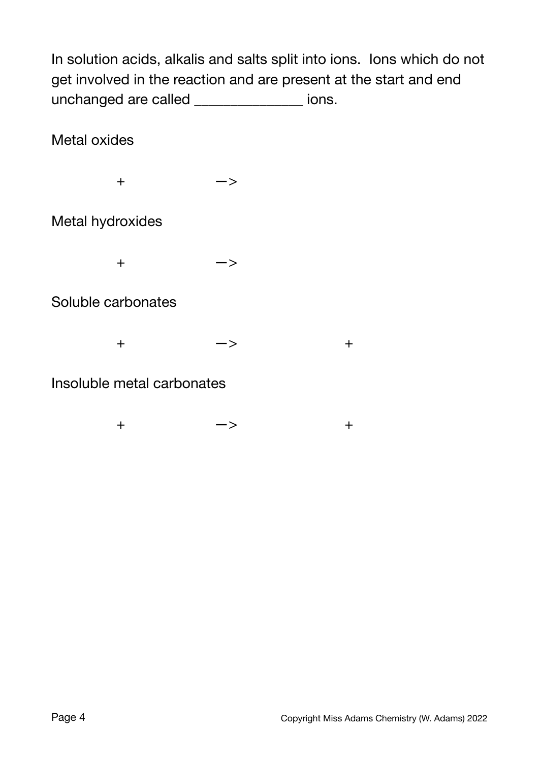In solution acids, alkalis and salts split into ions. Ions which do not get involved in the reaction and are present at the start and end unchanged are called \_\_\_\_\_\_\_\_\_\_\_\_\_\_\_ ions.

Metal oxides

 $+$   $-$ >

Metal hydroxides

 $+$   $-$ >

Soluble carbonates

 $+$   $-$ >  $+$ 

Insoluble metal carbonates

 $+$   $-$ >  $+$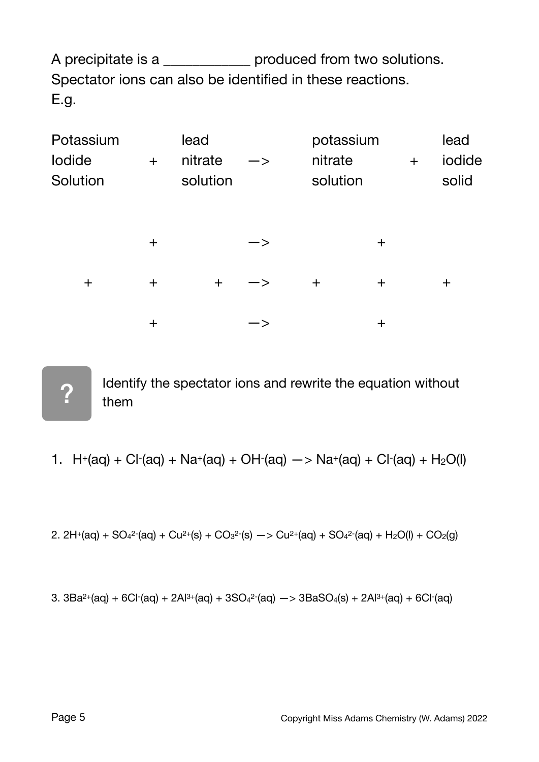A precipitate is a \_\_\_\_\_\_\_\_\_\_\_\_\_ produced from two solutions. Spectator ions can also be identified in these reactions. E.g.

| Potassium          |          | lead                |               | potassium           |       |     | lead            |
|--------------------|----------|---------------------|---------------|---------------------|-------|-----|-----------------|
| lodide<br>Solution | $+$      | nitrate<br>solution | ―>            | nitrate<br>solution |       | $+$ | iodide<br>solid |
|                    | $\pm$    |                     | $\rightarrow$ |                     | $\pm$ |     |                 |
| $\pm$              | $\pm$    | $\pm$               | ー>            | $+$                 | $\pm$ |     | $+$             |
|                    | $\bm{+}$ |                     |               |                     | ┿     |     |                 |

?

Identify the spectator ions and rewrite the equation without them

1. 
$$
H^+(aq) + Cl^-(aq) + Na^+(aq) + OH^-(aq) \rightarrow Na^+(aq) + Cl^-(aq) + H_2O(l)
$$

2. 
$$
2H^+(aq) + SO_4^2-(aq) + Cu^{2+}(s) + CO_3^2-(s) \rightarrow Cu^{2+}(aq) + SO_4^2-(aq) + H_2O(l) + CO_2(g)
$$

3. 
$$
3Ba^{2+}(aq) + 6Cl^{-}(aq) + 2Al^{3+}(aq) + 3SO_{4}^{2-}(aq) \rightarrow 3BaSO_{4}(s) + 2Al^{3+}(aq) + 6Cl^{-}(aq)
$$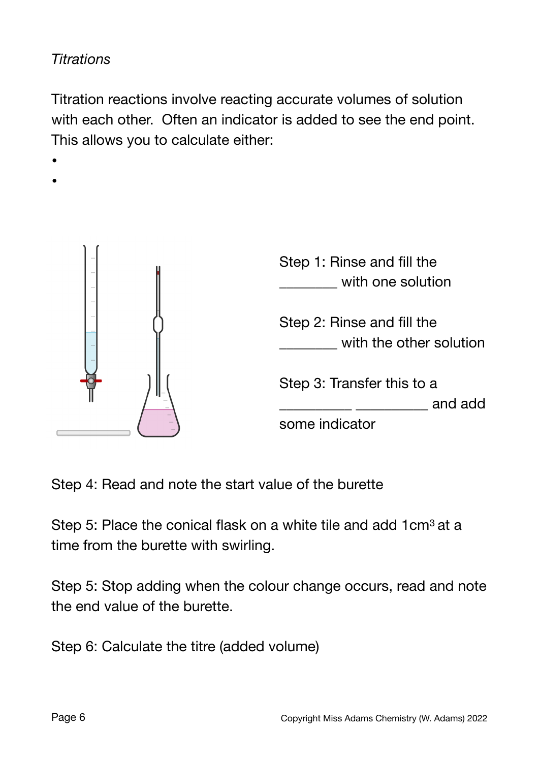# *Titrations*

Titration reactions involve reacting accurate volumes of solution with each other. Often an indicator is added to see the end point. This allows you to calculate either:



Step 4: Read and note the start value of the burette

Step 5: Place the conical flask on a white tile and add 1cm<sup>3</sup> at a time from the burette with swirling.

Step 5: Stop adding when the colour change occurs, read and note the end value of the burette.

Step 6: Calculate the titre (added volume)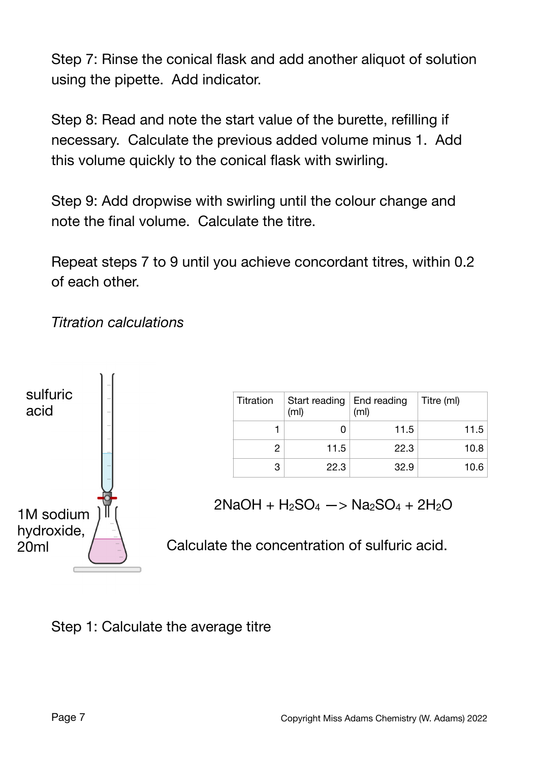Step 7: Rinse the conical flask and add another aliquot of solution using the pipette. Add indicator.

Step 8: Read and note the start value of the burette, refilling if necessary. Calculate the previous added volume minus 1. Add this volume quickly to the conical flask with swirling.

Step 9: Add dropwise with swirling until the colour change and note the final volume. Calculate the titre.

Repeat steps 7 to 9 until you achieve concordant titres, within 0.2 of each other.





| Titration | Start reading   End reading<br>(m <sub>l</sub> ) | (m <sub>l</sub> ) | Titre (ml) |
|-----------|--------------------------------------------------|-------------------|------------|
|           |                                                  | 11.5              | 11.5       |
| 2         | 11.5                                             | 22.3              | 10.8       |
| 3         | 22.3                                             | 32.9              | 10.6       |

# $2NaOH + H<sub>2</sub>SO<sub>4</sub> - > Na<sub>2</sub>SO<sub>4</sub> + 2H<sub>2</sub>O$

Calculate the concentration of sulfuric acid.

Step 1: Calculate the average titre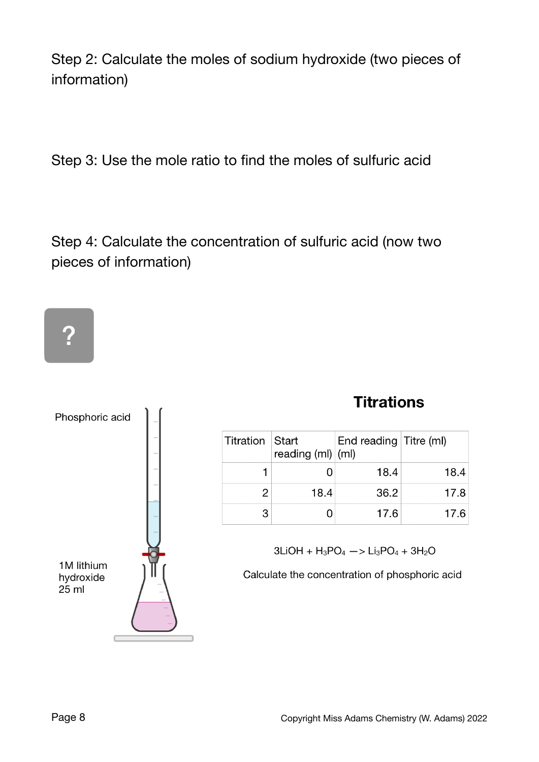Step 2: Calculate the moles of sodium hydroxide (two pieces of information)

Step 3: Use the mole ratio to find the moles of sulfuric acid

Step 4: Calculate the concentration of sulfuric acid (now two pieces of information)

# ?



# **Titrations**

| Titration Start | reading $(ml)$ $(ml)$ | End reading Titre (ml) |      |
|-----------------|-----------------------|------------------------|------|
|                 |                       | 18.4                   | 18.4 |
| 2               | 18.4                  | 36.2                   | 17.8 |
| 3               |                       | 17.6                   | 17.6 |

 $3LiOH + H_3PO_4 \rightarrow Li_3PO_4 + 3H_2O$ 

Calculate the concentration of phosphoric acid